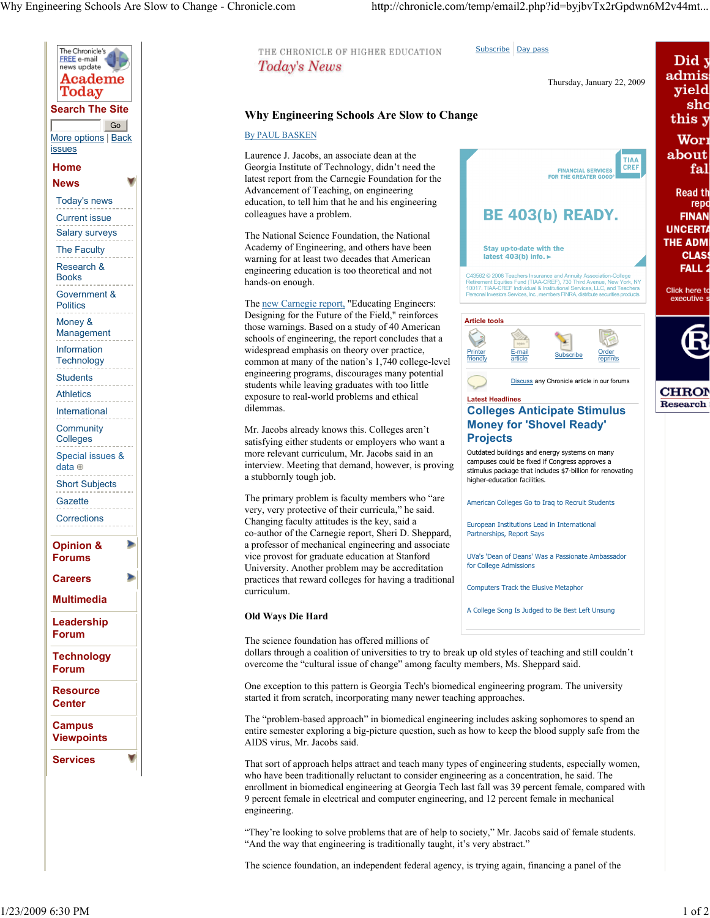

## Subscribe Day pass THE CHRONICLE OF HIGHER EDUCATION Did y **Today's News** admis Thursday, January 22, 2009 yield Why Engineering Schools Are Slow to Change this y By PAUL BASKEN Wori about Laurence J. Jacobs, an associate dean at the **TIAA**<br>CREF Georgia Institute of Technology, didn't need the **FINANCIAL SERVICES** .<br>פח THE GREATER GO latest report from the Carnegie Foundation for the Advancement of Teaching, on engineering **Read th** education, to tell him that he and his engineering **BE 403(b) READY.** colleagues have a problem. **FINAN UNCERTA** The National Science Foundation, the National **THE ADM** Academy of Engineering, and others have been Stay up-to-date with the latest 403(b) info. ► warning for at least two decades that American **FALL 2** engineering education is too theoretical and not C43562 © 2008 Teachers Insurance and Annuity Association-College<br>Retirement Equities Fund (TIAA-CREF), 730 Third Avenue, New York, NY<br>10017. TIAA-CREF Individual & Institutional Services, LLC, and Teachers<br>Personal Investo hands-on enough. Click here to executive s The new Carnegie report, "Educating Engineers: Designing for the Future of the Field," reinforces Article tools those warnings. Based on a study of 40 American schools of engineering, the report concludes that a widespread emphasis on theory over practice, **Printer** E-mail E-mail Subscribe Order<br>article Subscribe reprin common at many of the nation's 1,740 college-level friendly reprints engineering programs, discourages many potential Discuss any Chronicle article in our forums students while leaving graduates with too little **CHRON** exposure to real-world problems and ethical Latest Headlines Research dilemmas. Colleges Anticipate Stimulus Money for 'Shovel Ready' Mr. Jacobs already knows this. Colleges aren't **Projects** satisfying either students or employers who want a Outdated buildings and energy systems on many more relevant curriculum, Mr. Jacobs said in an campuses could be fixed if Congress approves a interview. Meeting that demand, however, is proving stimulus package that includes \$7-billion for renovating a stubbornly tough job. higher-education facilities. The primary problem is faculty members who "are American Colleges Go to Iraq to Recruit Students very, very protective of their curricula," he said. Changing faculty attitudes is the key, said a European Institutions Lead in International co-author of the Carnegie report, Sheri D. Sheppard, Partnerships, Report Says a professor of mechanical engineering and associate vice provost for graduate education at Stanford UVa's 'Dean of Deans' Was a Passionate Ambassador for College Admissions University. Another problem may be accreditation practices that reward colleges for having a traditional Computers Track the Elusive Metaphor curriculum. A College Song Is Judged to Be Best Left Unsung Old Ways Die Hard The science foundation has offered millions of dollars through a coalition of universities to try to break up old styles of teaching and still couldn't overcome the "cultural issue of change" among faculty members, Ms. Sheppard said.

One exception to this pattern is Georgia Tech's biomedical engineering program. The university started it from scratch, incorporating many newer teaching approaches.

The "problem-based approach" in biomedical engineering includes asking sophomores to spend an entire semester exploring a big-picture question, such as how to keep the blood supply safe from the AIDS virus, Mr. Jacobs said.

That sort of approach helps attract and teach many types of engineering students, especially women, who have been traditionally reluctant to consider engineering as a concentration, he said. The enrollment in biomedical engineering at Georgia Tech last fall was 39 percent female, compared with 9 percent female in electrical and computer engineering, and 12 percent female in mechanical engineering.

"They're looking to solve problems that are of help to society," Mr. Jacobs said of female students. "And the way that engineering is traditionally taught, it's very abstract."

The science foundation, an independent federal agency, is trying again, financing a panel of the

 $_{\rm shc}$ 

fal

repo

**CLAS**